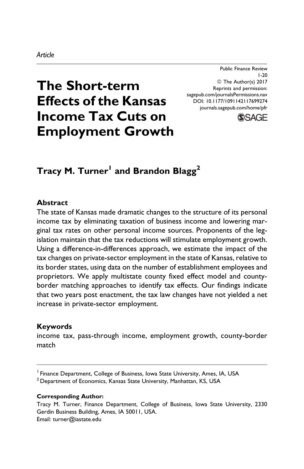#### Article

Public Finance Review 1-20 © The Author(s) 2017 Reprints and permission: [sagepub.com/journalsPermissions.nav](https://us.sagepub.com/en-us/journals-permissions) [DOI: 10.1177/1091142117699274](https://doi.org/10.1177/1091142117699274) [journals.sagepub.com/home/pfr](http://journals.sagepub.com/home/pfr)



# The Short-term Effects of the Kansas Income Tax Cuts on Employment Growth

# Tracy M. Turner<sup>1</sup> and Brandon Blagg<sup>2</sup>

### Abstract

The state of Kansas made dramatic changes to the structure of its personal income tax by eliminating taxation of business income and lowering marginal tax rates on other personal income sources. Proponents of the legislation maintain that the tax reductions will stimulate employment growth. Using a difference-in-differences approach, we estimate the impact of the tax changes on private-sector employment in the state of Kansas, relative to its border states, using data on the number of establishment employees and proprietors. We apply multistate county fixed effect model and countyborder matching approaches to identify tax effects. Our findings indicate that two years post enactment, the tax law changes have not yielded a net increase in private-sector employment.

### Keywords

income tax, pass-through income, employment growth, county-border match

#### Corresponding Author:

<sup>&</sup>lt;sup>1</sup> Finance Department, College of Business, Iowa State University, Ames, IA, USA

<sup>&</sup>lt;sup>2</sup> Department of Economics, Kansas State University, Manhattan, KS, USA

Tracy M. Turner, Finance Department, College of Business, Iowa State University, 2330 Gerdin Business Building, Ames, IA 50011, USA. Email: turner@iastate.edu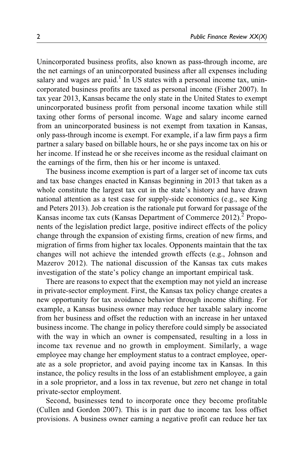Unincorporated business profits, also known as pass-through income, are the net earnings of an unincorporated business after all expenses including salary and wages are paid.<sup>1</sup> In US states with a personal income tax, unincorporated business profits are taxed as personal income (Fisher 2007). In tax year 2013, Kansas became the only state in the United States to exempt unincorporated business profit from personal income taxation while still taxing other forms of personal income. Wage and salary income earned from an unincorporated business is not exempt from taxation in Kansas, only pass-through income is exempt. For example, if a law firm pays a firm partner a salary based on billable hours, he or she pays income tax on his or her income. If instead he or she receives income as the residual claimant on the earnings of the firm, then his or her income is untaxed.

The business income exemption is part of a larger set of income tax cuts and tax base changes enacted in Kansas beginning in 2013 that taken as a whole constitute the largest tax cut in the state's history and have drawn national attention as a test case for supply-side economics (e.g., see King and Peters 2013). Job creation is the rationale put forward for passage of the Kansas income tax cuts (Kansas Department of Commerce 2012).<sup>2</sup> Proponents of the legislation predict large, positive indirect effects of the policy change through the expansion of existing firms, creation of new firms, and migration of firms from higher tax locales. Opponents maintain that the tax changes will not achieve the intended growth effects (e.g., Johnson and Mazerov 2012). The national discussion of the Kansas tax cuts makes investigation of the state's policy change an important empirical task.

There are reasons to expect that the exemption may not yield an increase in private-sector employment. First, the Kansas tax policy change creates a new opportunity for tax avoidance behavior through income shifting. For example, a Kansas business owner may reduce her taxable salary income from her business and offset the reduction with an increase in her untaxed business income. The change in policy therefore could simply be associated with the way in which an owner is compensated, resulting in a loss in income tax revenue and no growth in employment. Similarly, a wage employee may change her employment status to a contract employee, operate as a sole proprietor, and avoid paying income tax in Kansas. In this instance, the policy results in the loss of an establishment employee, a gain in a sole proprietor, and a loss in tax revenue, but zero net change in total private-sector employment.

Second, businesses tend to incorporate once they become profitable (Cullen and Gordon 2007). This is in part due to income tax loss offset provisions. A business owner earning a negative profit can reduce her tax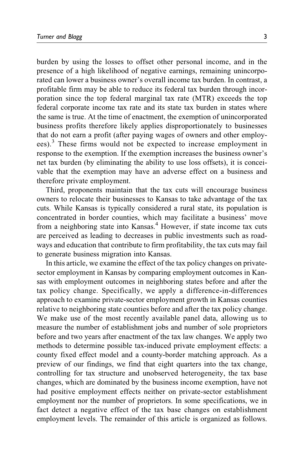burden by using the losses to offset other personal income, and in the presence of a high likelihood of negative earnings, remaining unincorporated can lower a business owner's overall income tax burden. In contrast, a profitable firm may be able to reduce its federal tax burden through incorporation since the top federal marginal tax rate (MTR) exceeds the top federal corporate income tax rate and its state tax burden in states where the same is true. At the time of enactment, the exemption of unincorporated business profits therefore likely applies disproportionately to businesses that do not earn a profit (after paying wages of owners and other employees).<sup>3</sup> These firms would not be expected to increase employment in response to the exemption. If the exemption increases the business owner's net tax burden (by eliminating the ability to use loss offsets), it is conceivable that the exemption may have an adverse effect on a business and therefore private employment.

Third, proponents maintain that the tax cuts will encourage business owners to relocate their businesses to Kansas to take advantage of the tax cuts. While Kansas is typically considered a rural state, its population is concentrated in border counties, which may facilitate a business' move from a neighboring state into Kansas.<sup>4</sup> However, if state income tax cuts are perceived as leading to decreases in public investments such as roadways and education that contribute to firm profitability, the tax cuts may fail to generate business migration into Kansas.

In this article, we examine the effect of the tax policy changes on privatesector employment in Kansas by comparing employment outcomes in Kansas with employment outcomes in neighboring states before and after the tax policy change. Specifically, we apply a difference-in-differences approach to examine private-sector employment growth in Kansas counties relative to neighboring state counties before and after the tax policy change. We make use of the most recently available panel data, allowing us to measure the number of establishment jobs and number of sole proprietors before and two years after enactment of the tax law changes. We apply two methods to determine possible tax-induced private employment effects: a county fixed effect model and a county-border matching approach. As a preview of our findings, we find that eight quarters into the tax change, controlling for tax structure and unobserved heterogeneity, the tax base changes, which are dominated by the business income exemption, have not had positive employment effects neither on private-sector establishment employment nor the number of proprietors. In some specifications, we in fact detect a negative effect of the tax base changes on establishment employment levels. The remainder of this article is organized as follows.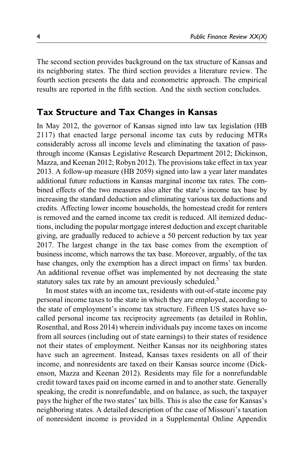The second section provides background on the tax structure of Kansas and its neighboring states. The third section provides a literature review. The fourth section presents the data and econometric approach. The empirical results are reported in the fifth section. And the sixth section concludes.

### Tax Structure and Tax Changes in Kansas

In May 2012, the governor of Kansas signed into law tax legislation (HB 2117) that enacted large personal income tax cuts by reducing MTRs considerably across all income levels and eliminating the taxation of passthrough income (Kansas Legislative Research Department 2012; Dickinson, Mazza, and Keenan 2012; Robyn 2012). The provisions take effect in tax year 2013. A follow-up measure (HB 2059) signed into law a year later mandates additional future reductions in Kansas marginal income tax rates. The combined effects of the two measures also alter the state's income tax base by increasing the standard deduction and eliminating various tax deductions and credits. Affecting lower income households, the homestead credit for renters is removed and the earned income tax credit is reduced. All itemized deductions, including the popular mortgage interest deduction and except charitable giving, are gradually reduced to achieve a 50 percent reduction by tax year 2017. The largest change in the tax base comes from the exemption of business income, which narrows the tax base. Moreover, arguably, of the tax base changes, only the exemption has a direct impact on firms' tax burden. An additional revenue offset was implemented by not decreasing the state statutory sales tax rate by an amount previously scheduled.<sup>5</sup>

In most states with an income tax, residents with out-of-state income pay personal income taxes to the state in which they are employed, according to the state of employment's income tax structure. Fifteen US states have socalled personal income tax reciprocity agreements (as detailed in Rohlin, Rosenthal, and Ross 2014) wherein individuals pay income taxes on income from all sources (including out of state earnings) to their states of residence not their states of employment. Neither Kansas nor its neighboring states have such an agreement. Instead, Kansas taxes residents on all of their income, and nonresidents are taxed on their Kansas source income (Dickenson, Mazza and Keenan 2012). Residents may file for a nonrefundable credit toward taxes paid on income earned in and to another state. Generally speaking, the credit is nonrefundable, and on balance, as such, the taxpayer pays the higher of the two states' tax bills. This is also the case for Kansas's neighboring states. A detailed description of the case of Missouri's taxation of nonresident income is provided in a Supplemental Online Appendix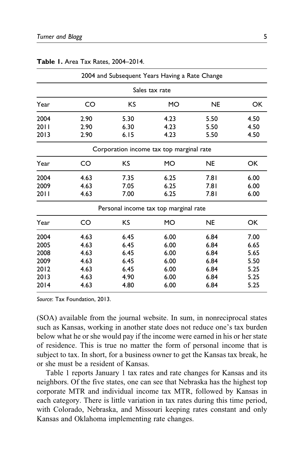|      |      |      | 2004 and Subsequent Years Having a Rate Change |           |      |
|------|------|------|------------------------------------------------|-----------|------|
|      |      |      | Sales tax rate                                 |           |      |
| Year | CO   | ΚS   | MO                                             | <b>NE</b> | OK   |
| 2004 | 2.90 | 5.30 | 4.23                                           | 5.50      | 4.50 |
| 2011 | 2.90 | 6.30 | 4.23                                           | 5.50      | 4.50 |
| 2013 | 2.90 | 6.15 | 4.23                                           | 5.50      | 4.50 |
|      |      |      | Corporation income tax top marginal rate       |           |      |
| Year | CO   | ΚS   | <b>MO</b>                                      | <b>NE</b> | OK   |
| 2004 | 4.63 | 7.35 | 6.25                                           | 7.81      | 6.00 |
| 2009 | 4.63 | 7.05 | 6.25                                           | 7.81      | 6.00 |
| 2011 | 4.63 | 7.00 | 6.25                                           | 7.81      | 6.00 |
|      |      |      | Personal income tax top marginal rate          |           |      |
| Year | CO   | KS   | MO                                             | <b>NE</b> | OK   |
| 2004 | 4.63 | 6.45 | 6.00                                           | 6.84      | 7.00 |
| 2005 | 4.63 | 6.45 | 6.00                                           | 6.84      | 6.65 |
| 2008 | 4.63 | 6.45 | 6.00                                           | 6.84      | 5.65 |
| 2009 | 4.63 | 6.45 | 6.00                                           | 6.84      | 5.50 |
| 2012 | 4.63 | 6.45 | 6.00                                           | 6.84      | 5.25 |
| 2013 | 4.63 | 4.90 | 6.00                                           | 6.84      | 5.25 |
| 2014 | 4.63 | 4.80 | 6.00                                           | 6.84      | 5.25 |
|      |      |      |                                                |           |      |

#### Table 1. Area Tax Rates, 2004–2014.

Source: Tax Foundation, 2013.

(SOA) available from the journal website. In sum, in nonreciprocal states such as Kansas, working in another state does not reduce one's tax burden below what he or she would pay if the income were earned in his or her state of residence. This is true no matter the form of personal income that is subject to tax. In short, for a business owner to get the Kansas tax break, he or she must be a resident of Kansas.

Table 1 reports January 1 tax rates and rate changes for Kansas and its neighbors. Of the five states, one can see that Nebraska has the highest top corporate MTR and individual income tax MTR, followed by Kansas in each category. There is little variation in tax rates during this time period, with Colorado, Nebraska, and Missouri keeping rates constant and only Kansas and Oklahoma implementing rate changes.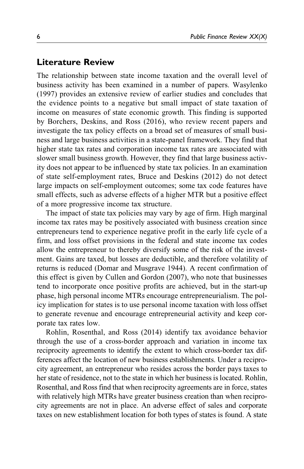### Literature Review

The relationship between state income taxation and the overall level of business activity has been examined in a number of papers. Wasylenko (1997) provides an extensive review of earlier studies and concludes that the evidence points to a negative but small impact of state taxation of income on measures of state economic growth. This finding is supported by Borchers, Deskins, and Ross (2016), who review recent papers and investigate the tax policy effects on a broad set of measures of small business and large business activities in a state-panel framework. They find that higher state tax rates and corporation income tax rates are associated with slower small business growth. However, they find that large business activity does not appear to be influenced by state tax policies. In an examination of state self-employment rates, Bruce and Deskins (2012) do not detect large impacts on self-employment outcomes; some tax code features have small effects, such as adverse effects of a higher MTR but a positive effect of a more progressive income tax structure.

The impact of state tax policies may vary by age of firm. High marginal income tax rates may be positively associated with business creation since entrepreneurs tend to experience negative profit in the early life cycle of a firm, and loss offset provisions in the federal and state income tax codes allow the entrepreneur to thereby diversify some of the risk of the investment. Gains are taxed, but losses are deductible, and therefore volatility of returns is reduced (Domar and Musgrave 1944). A recent confirmation of this effect is given by Cullen and Gordon (2007), who note that businesses tend to incorporate once positive profits are achieved, but in the start-up phase, high personal income MTRs encourage entrepreneurialism. The policy implication for states is to use personal income taxation with loss offset to generate revenue and encourage entrepreneurial activity and keep corporate tax rates low.

Rohlin, Rosenthal, and Ross (2014) identify tax avoidance behavior through the use of a cross-border approach and variation in income tax reciprocity agreements to identify the extent to which cross-border tax differences affect the location of new business establishments. Under a reciprocity agreement, an entrepreneur who resides across the border pays taxes to her state of residence, not to the state in which her business is located. Rohlin, Rosenthal, and Ross find that when reciprocity agreements are in force, states with relatively high MTRs have greater business creation than when reciprocity agreements are not in place. An adverse effect of sales and corporate taxes on new establishment location for both types of states is found. A state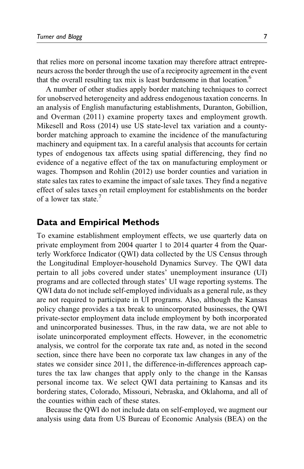that relies more on personal income taxation may therefore attract entrepreneurs across the border through the use of a reciprocity agreement in the event that the overall resulting tax mix is least burdensome in that location.<sup>6</sup>

A number of other studies apply border matching techniques to correct for unobserved heterogeneity and address endogenous taxation concerns. In an analysis of English manufacturing establishments, Duranton, Gobillion, and Overman (2011) examine property taxes and employment growth. Mikesell and Ross (2014) use US state-level tax variation and a countyborder matching approach to examine the incidence of the manufacturing machinery and equipment tax. In a careful analysis that accounts for certain types of endogenous tax affects using spatial differencing, they find no evidence of a negative effect of the tax on manufacturing employment or wages. Thompson and Rohlin (2012) use border counties and variation in state sales tax rates to examine the impact of sale taxes. They find a negative effect of sales taxes on retail employment for establishments on the border of a lower tax state.<sup>7</sup>

### Data and Empirical Methods

To examine establishment employment effects, we use quarterly data on private employment from 2004 quarter 1 to 2014 quarter 4 from the Quarterly Workforce Indicator (QWI) data collected by the US Census through the Longitudinal Employer-household Dynamics Survey. The QWI data pertain to all jobs covered under states' unemployment insurance (UI) programs and are collected through states' UI wage reporting systems. The QWI data do not include self-employed individuals as a general rule, as they are not required to participate in UI programs. Also, although the Kansas policy change provides a tax break to unincorporated businesses, the QWI private-sector employment data include employment by both incorporated and unincorporated businesses. Thus, in the raw data, we are not able to isolate unincorporated employment effects. However, in the econometric analysis, we control for the corporate tax rate and, as noted in the second section, since there have been no corporate tax law changes in any of the states we consider since 2011, the difference-in-differences approach captures the tax law changes that apply only to the change in the Kansas personal income tax. We select QWI data pertaining to Kansas and its bordering states, Colorado, Missouri, Nebraska, and Oklahoma, and all of the counties within each of these states.

Because the QWI do not include data on self-employed, we augment our analysis using data from US Bureau of Economic Analysis (BEA) on the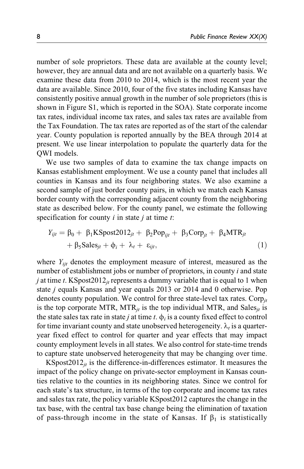number of sole proprietors. These data are available at the county level; however, they are annual data and are not available on a quarterly basis. We examine these data from 2010 to 2014, which is the most recent year the data are available. Since 2010, four of the five states including Kansas have consistently positive annual growth in the number of sole proprietors (this is shown in Figure S1, which is reported in the SOA). State corporate income tax rates, individual income tax rates, and sales tax rates are available from the Tax Foundation. The tax rates are reported as of the start of the calendar year. County population is reported annually by the BEA through 2014 at present. We use linear interpolation to populate the quarterly data for the QWI models.

We use two samples of data to examine the tax change impacts on Kansas establishment employment. We use a county panel that includes all counties in Kansas and its four neighboring states. We also examine a second sample of just border county pairs, in which we match each Kansas border county with the corresponding adjacent county from the neighboring state as described below. For the county panel, we estimate the following specification for county  $i$  in state  $j$  at time  $t$ :

$$
Y_{ijt} = \beta_0 + \beta_1 \text{KSpost2012}_{jt} + \beta_2 \text{Pop}_{ijt} + \beta_3 \text{Corp}_{jt} + \beta_4 \text{MTR}_{jt} + \beta_5 \text{Sales}_{jt} + \phi_i + \lambda_t + \varepsilon_{ijt},
$$
 (1)

where  $Y_{iit}$  denotes the employment measure of interest, measured as the number of establishment jobs or number of proprietors, in county *i* and state j at time t. KSpost2012<sub>it</sub> represents a dummy variable that is equal to 1 when state j equals Kansas and year equals 2013 or 2014 and 0 otherwise. Pop denotes county population. We control for three state-level tax rates.  $\text{Corp}_{it}$ is the top corporate MTR, MTR<sub>it</sub> is the top individual MTR, and Sales<sub>it</sub> is the state sales tax rate in state j at time t.  $\phi_i$  is a county fixed effect to control for time invariant county and state unobserved heterogeneity.  $\lambda_t$  is a quarteryear fixed effect to control for quarter and year effects that may impact county employment levels in all states. We also control for state-time trends to capture state unobserved heterogeneity that may be changing over time.

KSpost2012 $<sub>it</sub>$  is the difference-in-differences estimator. It measures the</sub> impact of the policy change on private-sector employment in Kansas counties relative to the counties in its neighboring states. Since we control for each state's tax structure, in terms of the top corporate and income tax rates and sales tax rate, the policy variable KSpost2012 captures the change in the tax base, with the central tax base change being the elimination of taxation of pass-through income in the state of Kansas. If  $\beta_1$  is statistically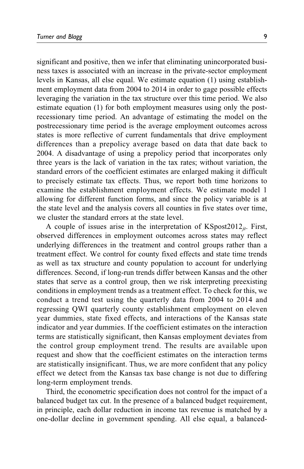significant and positive, then we infer that eliminating unincorporated business taxes is associated with an increase in the private-sector employment levels in Kansas, all else equal. We estimate equation (1) using establishment employment data from 2004 to 2014 in order to gage possible effects leveraging the variation in the tax structure over this time period. We also estimate equation (1) for both employment measures using only the postrecessionary time period. An advantage of estimating the model on the postrecessionary time period is the average employment outcomes across states is more reflective of current fundamentals that drive employment differences than a prepolicy average based on data that date back to 2004. A disadvantage of using a prepolicy period that incorporates only three years is the lack of variation in the tax rates; without variation, the standard errors of the coefficient estimates are enlarged making it difficult to precisely estimate tax effects. Thus, we report both time horizons to examine the establishment employment effects. We estimate model 1 allowing for different function forms, and since the policy variable is at the state level and the analysis covers all counties in five states over time, we cluster the standard errors at the state level.

A couple of issues arise in the interpretation of  $KSpost2012_{it}$ . First, observed differences in employment outcomes across states may reflect underlying differences in the treatment and control groups rather than a treatment effect. We control for county fixed effects and state time trends as well as tax structure and county population to account for underlying differences. Second, if long-run trends differ between Kansas and the other states that serve as a control group, then we risk interpreting preexisting conditions in employment trends as a treatment effect. To check for this, we conduct a trend test using the quarterly data from 2004 to 2014 and regressing QWI quarterly county establishment employment on eleven year dummies, state fixed effects, and interactions of the Kansas state indicator and year dummies. If the coefficient estimates on the interaction terms are statistically significant, then Kansas employment deviates from the control group employment trend. The results are available upon request and show that the coefficient estimates on the interaction terms are statistically insignificant. Thus, we are more confident that any policy effect we detect from the Kansas tax base change is not due to differing long-term employment trends.

Third, the econometric specification does not control for the impact of a balanced budget tax cut. In the presence of a balanced budget requirement, in principle, each dollar reduction in income tax revenue is matched by a one-dollar decline in government spending. All else equal, a balanced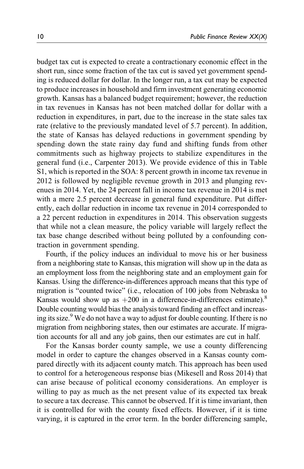budget tax cut is expected to create a contractionary economic effect in the short run, since some fraction of the tax cut is saved yet government spending is reduced dollar for dollar. In the longer run, a tax cut may be expected to produce increases in household and firm investment generating economic growth. Kansas has a balanced budget requirement; however, the reduction in tax revenues in Kansas has not been matched dollar for dollar with a reduction in expenditures, in part, due to the increase in the state sales tax rate (relative to the previously mandated level of 5.7 percent). In addition, the state of Kansas has delayed reductions in government spending by spending down the state rainy day fund and shifting funds from other commitments such as highway projects to stabilize expenditures in the general fund (i.e., Carpenter 2013). We provide evidence of this in Table S1, which is reported in the SOA: 8 percent growth in income tax revenue in 2012 is followed by negligible revenue growth in 2013 and plunging revenues in 2014. Yet, the 24 percent fall in income tax revenue in 2014 is met with a mere 2.5 percent decrease in general fund expenditure. Put differently, each dollar reduction in income tax revenue in 2014 corresponded to a 22 percent reduction in expenditures in 2014. This observation suggests that while not a clean measure, the policy variable will largely reflect the tax base change described without being polluted by a confounding contraction in government spending.

Fourth, if the policy induces an individual to move his or her business from a neighboring state to Kansas, this migration will show up in the data as an employment loss from the neighboring state and an employment gain for Kansas. Using the difference-in-differences approach means that this type of migration is "counted twice" (i.e., relocation of 100 jobs from Nebraska to Kansas would show up as  $+200$  in a difference-in-differences estimate).<sup>8</sup> Double counting would bias the analysis toward finding an effect and increasing its size.<sup>9</sup> We do not have a way to adjust for double counting. If there is no migration from neighboring states, then our estimates are accurate. If migration accounts for all and any job gains, then our estimates are cut in half.

For the Kansas border county sample, we use a county differencing model in order to capture the changes observed in a Kansas county compared directly with its adjacent county match. This approach has been used to control for a heterogeneous response bias (Mikesell and Ross 2014) that can arise because of political economy considerations. An employer is willing to pay as much as the net present value of its expected tax break to secure a tax decrease. This cannot be observed. If it is time invariant, then it is controlled for with the county fixed effects. However, if it is time varying, it is captured in the error term. In the border differencing sample,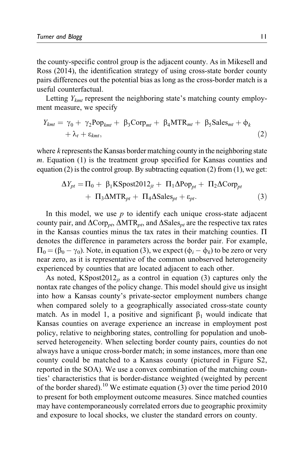the county-specific control group is the adjacent county. As in Mikesell and Ross (2014), the identification strategy of using cross-state border county pairs differences out the potential bias as long as the cross-border match is a useful counterfactual.

Letting  $Y_{kmt}$  represent the neighboring state's matching county employment measure, we specify

$$
Y_{kmt} = \gamma_0 + \gamma_2 \text{Pop}_{kmt} + \beta_3 \text{Corp}_{mt} + \beta_4 \text{MTR}_{mt} + \beta_5 \text{Sales}_{mt} + \phi_k + \lambda_t + \varepsilon_{kmt},
$$
\n(2)

where k represents the Kansas border matching county in the neighboring state m. Equation (1) is the treatment group specified for Kansas counties and equation (2) is the control group. By subtracting equation (2) from (1), we get:

$$
\Delta Y_{pt} = \Pi_0 + \beta_1 \text{KSpost2012}_{jt} + \Pi_1 \Delta \text{Pop}_{pt} + \Pi_2 \Delta \text{Corp}_{pt} + \Pi_3 \Delta \text{MTR}_{pt} + \Pi_4 \Delta \text{Sales}_{pt} + \varepsilon_{pt}.
$$
 (3)

In this model, we use  $p$  to identify each unique cross-state adjacent county pair, and  $\Delta \text{Corp}_{pt}$ ,  $\Delta \text{MTR}_{pt}$ , and  $\Delta \text{Sales}_{pt}$  are the respective tax rates in the Kansas counties minus the tax rates in their matching counties.  $\Pi$ denotes the difference in parameters across the border pair. For example,  $\Pi_0 = (\beta_0 - \gamma_0)$ . Note, in equation (3), we expect ( $\phi_i - \phi_k$ ) to be zero or very near zero, as it is representative of the common unobserved heterogeneity experienced by counties that are located adjacent to each other.

As noted, KSpost2012<sub>it</sub> as a control in equation (3) captures only the nontax rate changes of the policy change. This model should give us insight into how a Kansas county's private-sector employment numbers change when compared solely to a geographically associated cross-state county match. As in model 1, a positive and significant  $\beta_1$  would indicate that Kansas counties on average experience an increase in employment post policy, relative to neighboring states, controlling for population and unobserved heterogeneity. When selecting border county pairs, counties do not always have a unique cross-border match; in some instances, more than one county could be matched to a Kansas county (pictured in Figure S2, reported in the SOA). We use a convex combination of the matching counties' characteristics that is border-distance weighted (weighted by percent of the border shared).<sup>10</sup> We estimate equation (3) over the time period 2010 to present for both employment outcome measures. Since matched counties may have contemporaneously correlated errors due to geographic proximity and exposure to local shocks, we cluster the standard errors on county.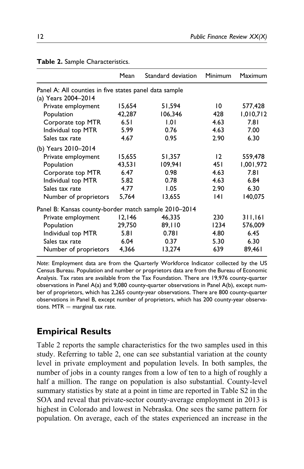|                                                        | Mean   | Standard deviation | Minimum | Maximum   |
|--------------------------------------------------------|--------|--------------------|---------|-----------|
| Panel A: All counties in five states panel data sample |        |                    |         |           |
| (a) Years 2004-2014                                    |        |                    |         |           |
| Private employment                                     | 15,654 | 51,594             | 10      | 577,428   |
| Population                                             | 42,287 | 106,346            | 428     | 1,010,712 |
| Corporate top MTR                                      | 6.51   | 1.01               | 4.63    | 7.81      |
| Individual top MTR                                     | 5.99   | 0.76               | 4.63    | 7.00      |
| Sales tax rate                                         | 4.67   | 0.95               | 2.90    | 6.30      |
| (b) Years 2010-2014                                    |        |                    |         |           |
| Private employment                                     | 15,655 | 51,357             | 12      | 559,478   |
| Population                                             | 43,531 | 109,941            | 451     | 1,001,972 |
| Corporate top MTR                                      | 6.47   | 0.98               | 4.63    | 7.81      |
| Individual top MTR                                     | 5.82   | 0.78               | 4.63    | 6.84      |
| Sales tax rate                                         | 4.77   | 1.05               | 2.90    | 6.30      |
| Number of proprietors                                  | 5.764  | 13,655             | 4       | 140.075   |
| Panel B: Kansas county-border match sample 2010-2014   |        |                    |         |           |
| Private employment                                     | 12,146 | 46,335             | 230     | 311,161   |
| Population                                             | 29,750 | 89,110             | 1234    | 576,009   |
| Individual top MTR                                     | 5.81   | 0.781              | 4.80    | 6.45      |
| Sales tax rate                                         | 6.04   | 0.37               | 5.30    | 6.30      |
| Number of proprietors                                  | 4,366  | 13,274             | 639     | 89,461    |

Table 2. Sample Characteristics.

Note: Employment data are from the Quarterly Workforce Indicator collected by the US Census Bureau. Population and number or proprietors data are from the Bureau of Economic Analysis. Tax rates are available from the Tax Foundation. There are 19,976 county-quarter observations in Panel A(a) and 9,080 county-quarter observations in Panel A(b), except number of proprietors, which has 2,265 county-year observations. There are 800 county-quarter observations in Panel B, except number of proprietors, which has 200 county-year observations.  $MTR =$  marginal tax rate.

# Empirical Results

Table 2 reports the sample characteristics for the two samples used in this study. Referring to table 2, one can see substantial variation at the county level in private employment and population levels. In both samples, the number of jobs in a county ranges from a low of ten to a high of roughly a half a million. The range on population is also substantial. County-level summary statistics by state at a point in time are reported in Table S2 in the SOA and reveal that private-sector county-average employment in 2013 is highest in Colorado and lowest in Nebraska. One sees the same pattern for population. On average, each of the states experienced an increase in the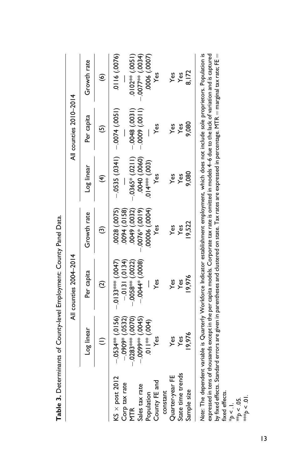|                       |                     | All counties 2004-2014 |                 |                   | All counties 2010-2014 |                    |
|-----------------------|---------------------|------------------------|-----------------|-------------------|------------------------|--------------------|
|                       | Log linear          | Per capita             | Growth rate     | Log linear        | Per capita             | Growth rate        |
|                       |                     |                        | سي              | €                 | ⊙                      | ଛ                  |
| $KS \times post 2012$ | $-0.0534**$ (.0156) | $-0.0133***$ (.0047)   | 0028 (.0075)    | $-0.0535(0.0341)$ | $-0.0051$              | (0.0076)           |
| Corp tax rate         | $-0.090$ % (.0532)  | $-0.0131(0.0134)$      | 0094 (.0158)    |                   |                        |                    |
| <b>MTR</b>            | $-0283***0070$      | $.0058**-.0022$        | 0049 (.0032)    | $-0365*0211$      | $-0048$ (.003)         | $(0102***(.0051))$ |
| Sales tax rate        | $(5800)$ $(1000)$   | $-004$ * $(0008)$      | $(61001 * 676)$ | 0900) 0400.       | $-100$ . $-000$        | $-0.0077***(0034)$ |
| Population            | $\frac{400}{10}$    |                        | 00006 (.0004)   | $(500)$ $*$       |                        | 0006 (.0007)       |
| County FE and         | $Y$ es              | yes                    | Yes             | Yes               | yes                    | Yes                |
| constant              |                     |                        |                 |                   |                        |                    |
| Quarter-year FE       | Υ <sup>es</sup>     | Yes                    | Ýеs             | Yes               | Yes                    | Yes                |
| State time trends     | Yes                 | Yes                    | Yes             | Yes               | Yes                    | $Y$ es             |
| Sample size           | 9,976               | 9,976                  | 19,522          | 9,080             | 9,080                  | 8,172              |

| $\vdots$ |
|----------|
| 1        |
|          |
|          |
|          |
|          |
| I<br>֡֝֬ |
|          |
|          |
| l        |
|          |
|          |

expressed in tens of thousands except in the per capita models. Corporate tax rate is omitted in models  $4-6$  due to the lack of variation and is captured by fixed effects. Standard errors are given in parentheses and clustered on state. Tax rates are expressed in percentage. MTR  $=$  marginal tax rate; FE  $=$ expressed in tens of thousands except in the per capita models. Corporate tax rate is omitted in models 4–6 due to the lack of variation and is captured by fixed effects. Standard errors are given in parentheses and clustered on state. Tax rates are expressed in percentage. MTR  $=$  marginal tax rate; FE  $=$ fixed effects. fixed effects.

\*p < .1. \*\*p < .05.

 $\Rightarrow$  0.7  $\Rightarrow$  4  $\Rightarrow$  0.1.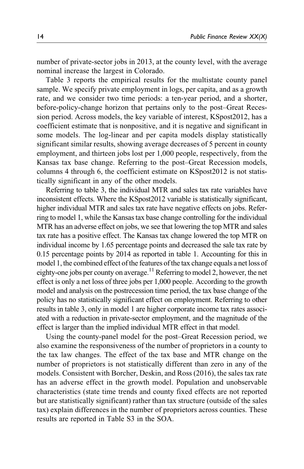number of private-sector jobs in 2013, at the county level, with the average nominal increase the largest in Colorado.

Table 3 reports the empirical results for the multistate county panel sample. We specify private employment in logs, per capita, and as a growth rate, and we consider two time periods: a ten-year period, and a shorter, before-policy-change horizon that pertains only to the post–Great Recession period. Across models, the key variable of interest, KSpost2012, has a coefficient estimate that is nonpositive, and it is negative and significant in some models. The log-linear and per capita models display statistically significant similar results, showing average decreases of 5 percent in county employment, and thirteen jobs lost per 1,000 people, respectively, from the Kansas tax base change. Referring to the post–Great Recession models, columns 4 through 6, the coefficient estimate on KSpost2012 is not statistically significant in any of the other models.

Referring to table 3, the individual MTR and sales tax rate variables have inconsistent effects. Where the KSpost2012 variable is statistically significant, higher individual MTR and sales tax rate have negative effects on jobs. Referring to model 1, while the Kansas tax base change controlling for the individual MTR has an adverse effect on jobs, we see that lowering the top MTR and sales tax rate has a positive effect. The Kansas tax change lowered the top MTR on individual income by 1.65 percentage points and decreased the sale tax rate by 0.15 percentage points by 2014 as reported in table 1. Accounting for this in model 1, the combined effect of the features of the tax change equals a net loss of eighty-one jobs per county on average.<sup>11</sup> Referring to model 2, however, the net effect is only a net loss of three jobs per 1,000 people. According to the growth model and analysis on the postrecession time period, the tax base change of the policy has no statistically significant effect on employment. Referring to other results in table 3, only in model 1 are higher corporate income tax rates associated with a reduction in private-sector employment, and the magnitude of the effect is larger than the implied individual MTR effect in that model.

Using the county-panel model for the post–Great Recession period, we also examine the responsiveness of the number of proprietors in a county to the tax law changes. The effect of the tax base and MTR change on the number of proprietors is not statistically different than zero in any of the models. Consistent with Borcher, Deskin, and Ross (2016), the sales tax rate has an adverse effect in the growth model. Population and unobservable characteristics (state time trends and county fixed effects are not reported but are statistically significant) rather than tax structure (outside of the sales tax) explain differences in the number of proprietors across counties. These results are reported in Table S3 in the SOA.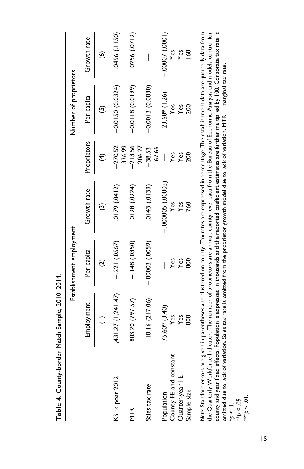|                                                                                                                                                                             |                    | Establishment employment |                      |                     | Number of proprietors |                |
|-----------------------------------------------------------------------------------------------------------------------------------------------------------------------------|--------------------|--------------------------|----------------------|---------------------|-----------------------|----------------|
|                                                                                                                                                                             | Employment         | Per capita               | Growth rate          | Proprietors         | Per capita            | Growth rate    |
|                                                                                                                                                                             |                    |                          |                      |                     |                       | ๑              |
| $KS \times post 2012$                                                                                                                                                       | (431.27 (1,241.47) | $-221(0567)$             | 0179 (.0412)         | $-270.52$<br>336.99 | $-0.0150(0.0324)$     | 0496 (.1150)   |
| <b>MTR</b>                                                                                                                                                                  | 803.20 (797.57)    | $-148(0.0350)$           | (0128)(0224)         | 213.56<br>206.27    | $-0.0118(0.019)$      | .0256(.0712)   |
| Sales tax rate                                                                                                                                                              | 10.16 (217.06)     | $(-00003)(0059)$         | (0.143)(0.139)       | 67.66<br>$-38.53$   | $-0.0013(0.0030)$     |                |
| Population                                                                                                                                                                  | 75.60* (3.40)      |                          | $(-00005, 000003)$   | I                   | 23.68* (1.26)         | $-00007(0001)$ |
| County FE and constant                                                                                                                                                      | Yes                | Yes                      | Yes                  | yes                 | Yes                   | Yes            |
| Quarter-year FE                                                                                                                                                             | уeз                | Yes                      | Yes                  | Yes                 | yes                   | yes            |
| Sample size                                                                                                                                                                 | ន្ល                | 800                      | 760                  | $\frac{8}{2}$       | 200                   | $\frac{60}{2}$ |
| Note: Standard errors are given in parentheses and clustered on county. Tax rates are expressed in percentage. The establishment data are quarterly data from<br>$\ddot{ }$ |                    |                          | $\ddot{\phantom{a}}$ |                     | $\frac{1}{1}$         |                |

Table 4. County-border Match Sample, 2010-2014. Table 4. County-border Match Sample, 2010–2014. the Quarterly Workforce Indicator. The number of proprietors are annual, county-level data from the Bureau of Economic Analysis and models control for county and year fixed effects. Population is expressed in thousands and the reported coefficient estimates are further multiplied by 100. Corporate tax rate is the Quarterly Workforce Indicator. The number of proprietors are annual, county-level data from the Bureau of Economic Analysis and models control for county and year fixed effects. Population is expressed in thousands and the reported coefficient estimates are further multiplied by 100. Corporate tax rate is omitted due to lack of variation. Sales tax rate is omitted from the proprietor growth model due to lack of variation. MTR = marginal tax rate. omitted due to lack of variation. Sales tax rate is omitted from the proprietor growth model due to lack of variation. MTR  $=$  marginal tax rate. \*p < .1. \*\*p < .05. \*\*\*p < .01.

15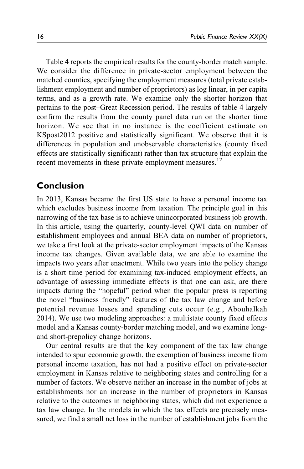Table 4 reports the empirical results for the county-border match sample. We consider the difference in private-sector employment between the matched counties, specifying the employment measures (total private establishment employment and number of proprietors) as log linear, in per capita terms, and as a growth rate. We examine only the shorter horizon that pertains to the post–Great Recession period. The results of table 4 largely confirm the results from the county panel data run on the shorter time horizon. We see that in no instance is the coefficient estimate on KSpost2012 positive and statistically significant. We observe that it is differences in population and unobservable characteristics (county fixed effects are statistically significant) rather than tax structure that explain the recent movements in these private employment measures.<sup>12</sup>

# Conclusion

In 2013, Kansas became the first US state to have a personal income tax which excludes business income from taxation. The principle goal in this narrowing of the tax base is to achieve unincorporated business job growth. In this article, using the quarterly, county-level QWI data on number of establishment employees and annual BEA data on number of proprietors, we take a first look at the private-sector employment impacts of the Kansas income tax changes. Given available data, we are able to examine the impacts two years after enactment. While two years into the policy change is a short time period for examining tax-induced employment effects, an advantage of assessing immediate effects is that one can ask, are there impacts during the "hopeful" period when the popular press is reporting the novel "business friendly" features of the tax law change and before potential revenue losses and spending cuts occur (e.g., Abouhalkah 2014). We use two modeling approaches: a multistate county fixed effects model and a Kansas county-border matching model, and we examine longand short-prepolicy change horizons.

Our central results are that the key component of the tax law change intended to spur economic growth, the exemption of business income from personal income taxation, has not had a positive effect on private-sector employment in Kansas relative to neighboring states and controlling for a number of factors. We observe neither an increase in the number of jobs at establishments nor an increase in the number of proprietors in Kansas relative to the outcomes in neighboring states, which did not experience a tax law change. In the models in which the tax effects are precisely measured, we find a small net loss in the number of establishment jobs from the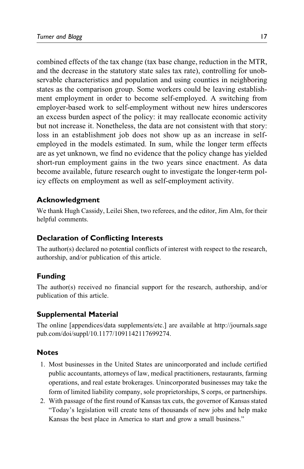combined effects of the tax change (tax base change, reduction in the MTR, and the decrease in the statutory state sales tax rate), controlling for unobservable characteristics and population and using counties in neighboring states as the comparison group. Some workers could be leaving establishment employment in order to become self-employed. A switching from employer-based work to self-employment without new hires underscores an excess burden aspect of the policy: it may reallocate economic activity but not increase it. Nonetheless, the data are not consistent with that story: loss in an establishment job does not show up as an increase in selfemployed in the models estimated. In sum, while the longer term effects are as yet unknown, we find no evidence that the policy change has yielded short-run employment gains in the two years since enactment. As data become available, future research ought to investigate the longer-term policy effects on employment as well as self-employment activity.

### Acknowledgment

We thank Hugh Cassidy, Leilei Shen, two referees, and the editor, Jim Alm, for their helpful comments.

### Declaration of Conflicting Interests

The author(s) declared no potential conflicts of interest with respect to the research, authorship, and/or publication of this article.

### Funding

The author(s) received no financial support for the research, authorship, and/or publication of this article.

### Supplemental Material

The online [appendices/data supplements/etc.] are available at [http://journals.sage](http://journals.sagepub.com/doi/suppl/10.1177/1091142117699274) [pub.com/doi/suppl/10.1177/1091142117699274.](http://journals.sagepub.com/doi/suppl/10.1177/1091142117699274)

### Notes

- 1. Most businesses in the United States are unincorporated and include certified public accountants, attorneys of law, medical practitioners, restaurants, farming operations, and real estate brokerages. Unincorporated businesses may take the form of limited liability company, sole proprietorships, S corps, or partnerships.
- 2. With passage of the first round of Kansas tax cuts, the governor of Kansas stated "Today's legislation will create tens of thousands of new jobs and help make Kansas the best place in America to start and grow a small business."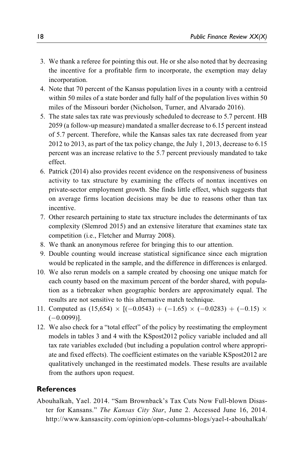- 3. We thank a referee for pointing this out. He or she also noted that by decreasing the incentive for a profitable firm to incorporate, the exemption may delay incorporation.
- 4. Note that 70 percent of the Kansas population lives in a county with a centroid within 50 miles of a state border and fully half of the population lives within 50 miles of the Missouri border (Nicholson, Turner, and Alvarado 2016).
- 5. The state sales tax rate was previously scheduled to decrease to 5.7 percent. HB 2059 (a follow-up measure) mandated a smaller decrease to 6.15 percent instead of 5.7 percent. Therefore, while the Kansas sales tax rate decreased from year 2012 to 2013, as part of the tax policy change, the July 1, 2013, decrease to 6.15 percent was an increase relative to the 5.7 percent previously mandated to take effect.
- 6. Patrick (2014) also provides recent evidence on the responsiveness of business activity to tax structure by examining the effects of nontax incentives on private-sector employment growth. She finds little effect, which suggests that on average firms location decisions may be due to reasons other than tax incentive.
- 7. Other research pertaining to state tax structure includes the determinants of tax complexity (Slemrod 2015) and an extensive literature that examines state tax competition (i.e., Fletcher and Murray 2008).
- 8. We thank an anonymous referee for bringing this to our attention.
- 9. Double counting would increase statistical significance since each migration would be replicated in the sample, and the difference in differences is enlarged.
- 10. We also rerun models on a sample created by choosing one unique match for each county based on the maximum percent of the border shared, with population as a tiebreaker when geographic borders are approximately equal. The results are not sensitive to this alternative match technique.
- 11. Computed as  $(15,654) \times [(-0.0543) + (-1.65) \times (-0.0283) + (-0.15) \times$  $(-0.0099)$ ].
- 12. We also check for a "total effect" of the policy by reestimating the employment models in tables 3 and 4 with the KSpost2012 policy variable included and all tax rate variables excluded (but including a population control where appropriate and fixed effects). The coefficient estimates on the variable KSpost2012 are qualitatively unchanged in the reestimated models. These results are available from the authors upon request.

### **References**

Abouhalkah, Yael. 2014. "Sam Brownback's Tax Cuts Now Full-blown Disaster for Kansans." The Kansas City Star, June 2. Accessed June 16, 2014. [http://www.kansascity.com/opinion/opn-columns-blogs/yael-t-abouhalkah/](http://www.kansascity.com/opinion/opn-columns-blogs/yael-t-abouhalkah/article448813/Sam-Brownback’s-tax-cuts-now-full-blown-disaster-for-Kansans.html)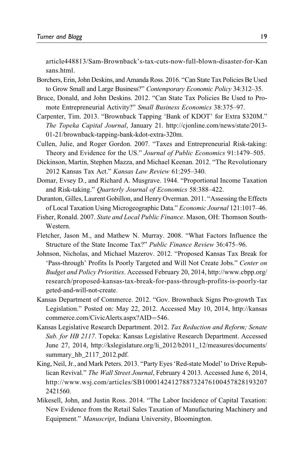[article448813/Sam-Brownback's-tax-cuts-now-full-blown-disaster-for-Kan](http://www.kansascity.com/opinion/opn-columns-blogs/yael-t-abouhalkah/article448813/Sam-Brownback’s-tax-cuts-now-full-blown-disaster-for-Kansans.html) [sans.html.](http://www.kansascity.com/opinion/opn-columns-blogs/yael-t-abouhalkah/article448813/Sam-Brownback’s-tax-cuts-now-full-blown-disaster-for-Kansans.html)

- Borchers, Erin, John Deskins, and Amanda Ross. 2016. "Can State Tax Policies Be Used to Grow Small and Large Business?" Contemporary Economic Policy 34:312–35.
- Bruce, Donald, and John Deskins. 2012. "Can State Tax Policies Be Used to Promote Entrepreneurial Activity?" Small Business Economics 38:375–97.
- Carpenter, Tim. 2013. "Brownback Tapping 'Bank of KDOT' for Extra \$320M." The Topeka Capital Journal, January 21. [http://cjonline.com/news/state/2013-](http://cjonline.com/news/state/2013-01-21/brownback-tapping-bank-kdot-extra-320m) [01-21/brownback-tapping-bank-kdot-extra-320m.](http://cjonline.com/news/state/2013-01-21/brownback-tapping-bank-kdot-extra-320m)
- Cullen, Julie, and Roger Gordon. 2007. "Taxes and Entrepreneurial Risk-taking: Theory and Evidence for the US." Journal of Public Economics 91:1479-505.
- Dickinson, Martin, Stephen Mazza, and Michael Keenan. 2012. "The Revolutionary 2012 Kansas Tax Act." Kansas Law Review 61:295–340.
- Domar, Evsey D., and Richard A. Musgrave. 1944. "Proportional Income Taxation and Risk-taking." Quarterly Journal of Economics 58:388–422.
- Duranton, Gilles, Laurent Gobillon, and Henry Overman. 2011. "Assessing the Effects of Local Taxation Using Microgeographic Data." Economic Journal 121:1017–46.
- Fisher, Ronald. 2007. State and Local Public Finance. Mason, OH: Thomson South-Western.
- Fletcher, Jason M., and Mathew N. Murray. 2008. "What Factors Influence the Structure of the State Income Tax?" Public Finance Review 36:475–96.
- Johnson, Nicholas, and Michael Mazerov. 2012. "Proposed Kansas Tax Break for 'Pass-through' Profits Is Poorly Targeted and Will Not Create Jobs." Center on Budget and Policy Priorities. Accessed February 20, 2014, [http://www.cbpp.org/](http://www.cbpp.org/research/proposed-kansas-tax-break-for-pass-through-profits-is-poorly-targeted-and-will-not-create) [research/proposed-kansas-tax-break-for-pass-through-profits-is-poorly-tar](http://www.cbpp.org/research/proposed-kansas-tax-break-for-pass-through-profits-is-poorly-targeted-and-will-not-create) [geted-and-will-not-create](http://www.cbpp.org/research/proposed-kansas-tax-break-for-pass-through-profits-is-poorly-targeted-and-will-not-create).
- Kansas Department of Commerce. 2012. "Gov. Brownback Signs Pro-growth Tax Legislation." Posted on: May 22, 2012. Accessed May 10, 2014, [http://kansas](http://kansascommerce.com/CivicAlerts.aspx?AID=546) [commerce.com/CivicAlerts.aspx?AID](http://kansascommerce.com/CivicAlerts.aspx?AID=546)=[546.](http://kansascommerce.com/CivicAlerts.aspx?AID=546)
- Kansas Legislative Research Department. 2012. Tax Reduction and Reform; Senate Sub. for HB 2117. Topeka: Kansas Legislative Research Department. Accessed June 27, 2014, [http://kslegislature.org/li\\_2012/b2011\\_12/measures/documents/](http://kslegislature.org/li_2012/b2011_12/measures/documents/summary_hb_2117_2012.pdf) [summary\\_hb\\_2117\\_2012.pdf.](http://kslegislature.org/li_2012/b2011_12/measures/documents/summary_hb_2117_2012.pdf)
- King, Neil, Jr., and Mark Peters. 2013. "Party Eyes 'Red-state Model' to Drive Republican Revival." The Wall Street Journal, February 4 2013. Accessed June 6, 2014, [http://www.wsj.com/articles/SB1000142412788732476100457828193207](http://www.wsj.com/articles/SB10001424127887324761004578281932072421560) [2421560.](http://www.wsj.com/articles/SB10001424127887324761004578281932072421560)
- Mikesell, John, and Justin Ross. 2014. "The Labor Incidence of Capital Taxation: New Evidence from the Retail Sales Taxation of Manufacturing Machinery and Equipment." Manuscript, Indiana University, Bloomington.